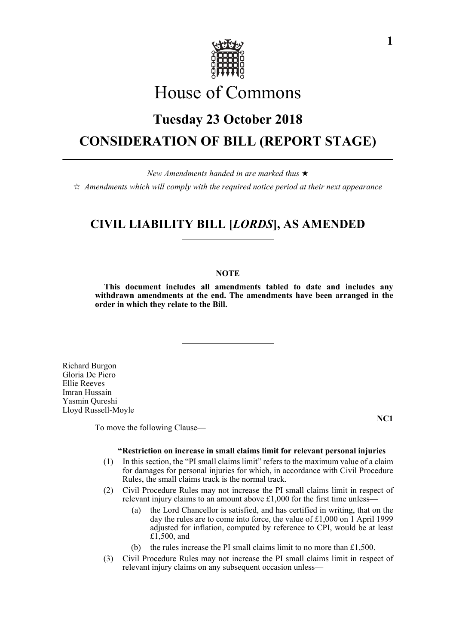

# House of Commons

# **Tuesday 23 October 2018 CONSIDERATION OF BILL (REPORT STAGE)**

*New Amendments handed in are marked thus* 

 $\dot{\varphi}$  Amendments which will comply with the required notice period at their next appearance

# **CIVIL LIABILITY BILL [***LORDS***], AS AMENDED**

# **NOTE**

**This document includes all amendments tabled to date and includes any withdrawn amendments at the end. The amendments have been arranged in the order in which they relate to the Bill.**

Richard Burgon Gloria De Piero Ellie Reeves Imran Hussain Yasmin Qureshi Lloyd Russell-Moyle

To move the following Clause—

**NC1**

## **"Restriction on increase in small claims limit for relevant personal injuries**

- (1) In this section, the "PI small claims limit" refers to the maximum value of a claim for damages for personal injuries for which, in accordance with Civil Procedure Rules, the small claims track is the normal track.
- (2) Civil Procedure Rules may not increase the PI small claims limit in respect of relevant injury claims to an amount above £1,000 for the first time unless—
	- (a) the Lord Chancellor is satisfied, and has certified in writing, that on the day the rules are to come into force, the value of £1,000 on 1 April 1999 adjusted for inflation, computed by reference to CPI, would be at least £1,500, and
	- (b) the rules increase the PI small claims limit to no more than £1,500.
- (3) Civil Procedure Rules may not increase the PI small claims limit in respect of relevant injury claims on any subsequent occasion unless—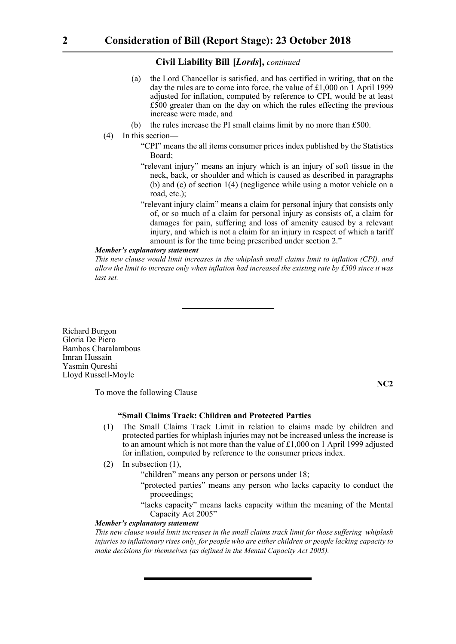# **Civil Liability Bill-[***Lords***],** *continued*

- (a) the Lord Chancellor is satisfied, and has certified in writing, that on the day the rules are to come into force, the value of £1,000 on 1 April 1999 adjusted for inflation, computed by reference to CPI, would be at least £500 greater than on the day on which the rules effecting the previous increase were made, and
- (b) the rules increase the PI small claims limit by no more than £500.
- (4) In this section—
	- "CPI" means the all items consumer prices index published by the Statistics Board;
	- "relevant injury" means an injury which is an injury of soft tissue in the neck, back, or shoulder and which is caused as described in paragraphs (b) and (c) of section 1(4) (negligence while using a motor vehicle on a road, etc.);
	- "relevant injury claim" means a claim for personal injury that consists only of, or so much of a claim for personal injury as consists of, a claim for damages for pain, suffering and loss of amenity caused by a relevant injury, and which is not a claim for an injury in respect of which a tariff amount is for the time being prescribed under section 2."

# *Member's explanatory statement*

*This new clause would limit increases in the whiplash small claims limit to inflation (CPI), and allow the limit to increase only when inflation had increased the existing rate by £500 since it was last set.*

Richard Burgon Gloria De Piero Bambos Charalambous Imran Hussain Yasmin Qureshi Lloyd Russell-Moyle

**NC2**

To move the following Clause—

# **"Small Claims Track: Children and Protected Parties**

- (1) The Small Claims Track Limit in relation to claims made by children and protected parties for whiplash injuries may not be increased unless the increase is to an amount which is not more than the value of  $£1,000$  on 1 April 1999 adjusted for inflation, computed by reference to the consumer prices index.
- (2) In subsection (1),
	- "children" means any person or persons under 18;
	- "protected parties" means any person who lacks capacity to conduct the proceedings;
	- "lacks capacity" means lacks capacity within the meaning of the Mental Capacity Act 2005"

#### *Member's explanatory statement*

*This new clause would limit increases in the small claims track limit for those suffering whiplash injuries to inflationary rises only, for people who are either children or people lacking capacity to make decisions for themselves (as defined in the Mental Capacity Act 2005).*